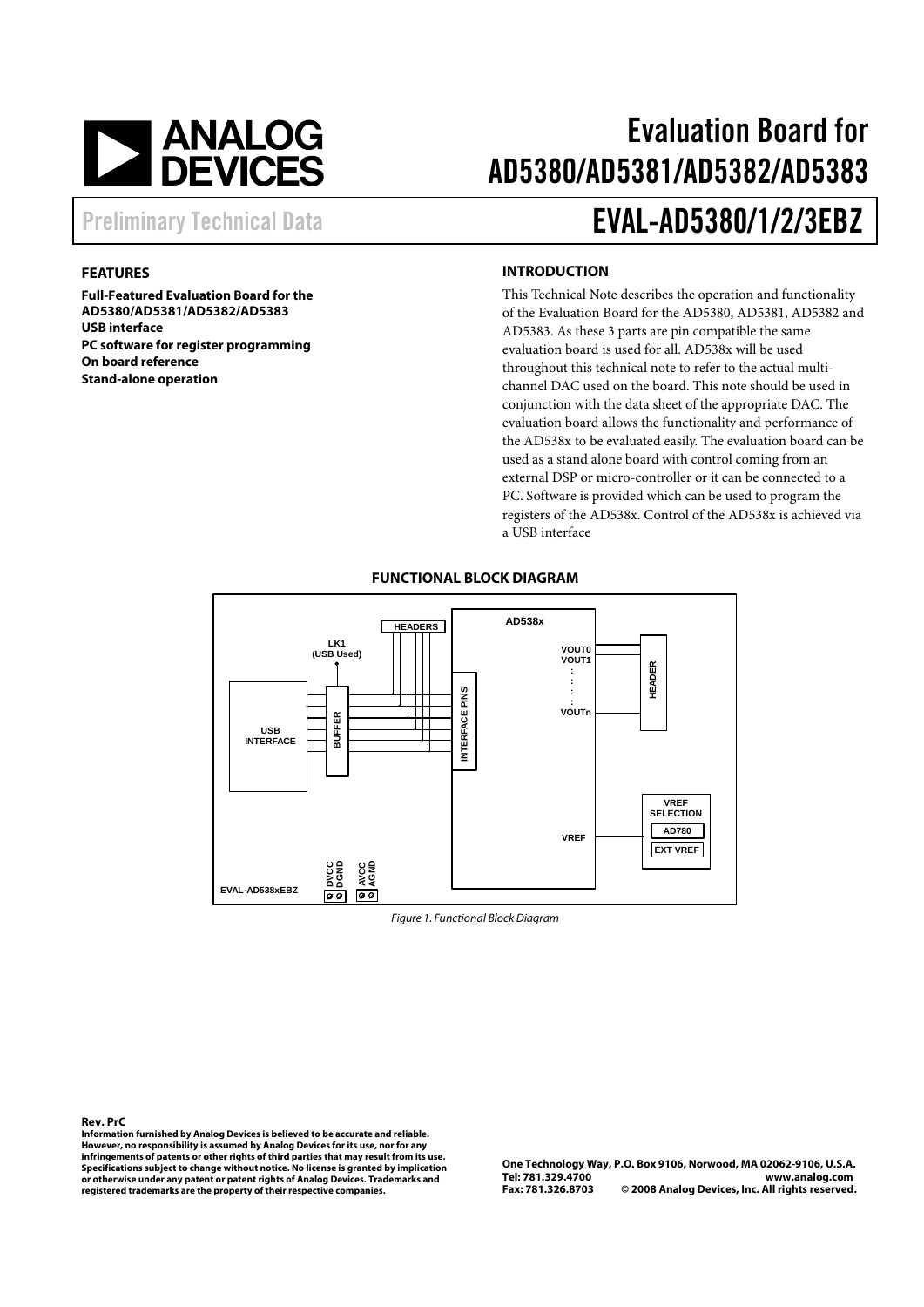

## Evaluation Board for AD5380/AD5381/AD5382/AD5383

### Preliminary Technical Data **EVAL-AD5380/1/2/3EBZ**

#### **FEATURES**

**Full-Featured Evaluation Board for the AD5380/AD5381/AD5382/AD5383 USB interface PC software for register programming On board reference Stand-alone operation** 

#### **INTRODUCTION**

This Technical Note describes the operation and functionality of the Evaluation Board for the AD5380, AD5381, AD5382 and AD5383. As these 3 parts are pin compatible the same evaluation board is used for all. AD538x will be used throughout this technical note to refer to the actual multichannel DAC used on the board. This note should be used in conjunction with the data sheet of the appropriate DAC. The evaluation board allows the functionality and performance of the AD538x to be evaluated easily. The evaluation board can be used as a stand alone board with control coming from an external DSP or micro-controller or it can be connected to a PC. Software is provided which can be used to program the registers of the AD538x. Control of the AD538x is achieved via a USB interface



#### **FUNCTIONAL BLOCK DIAGRAM**

Figure 1. Functional Block Diagram

**Rev. PrC**

**Information furnished by Analog Devices is believed to be accurate and reliable. However, no responsibility is assumed by Analog Devices for its use, nor for any infringements of patents or other rights of third parties that may result from its use. Specifications subject to change without notice. No license is granted by implication or otherwise under any patent or patent rights of Analog Devices. Trademarks and registered trademarks are the property of their respective companies.**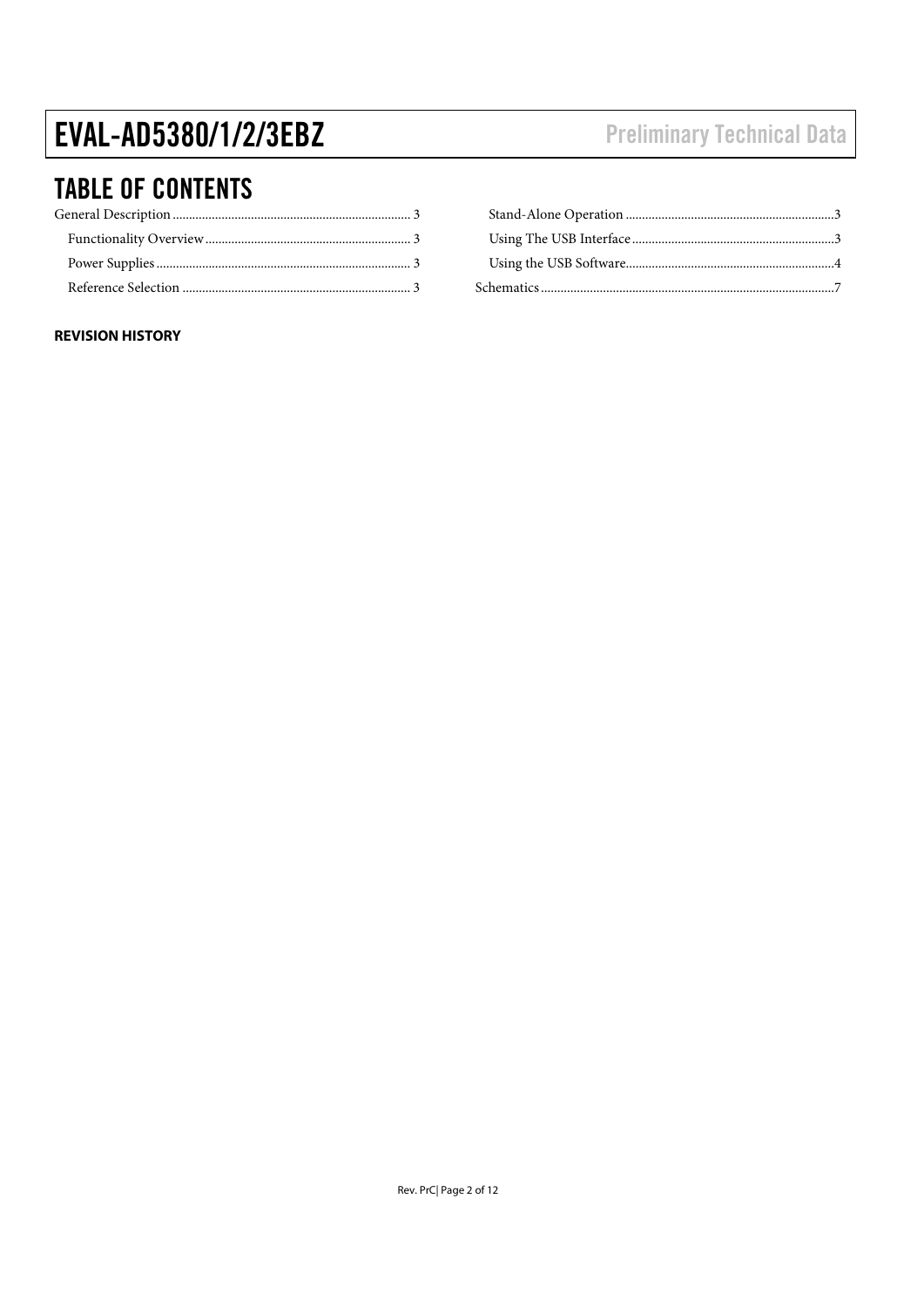# EVAL-AD5380/1/2/3EBZ

### **TABLE OF CONTENTS**

### **REVISION HISTORY**

### **Preliminary Technical Data**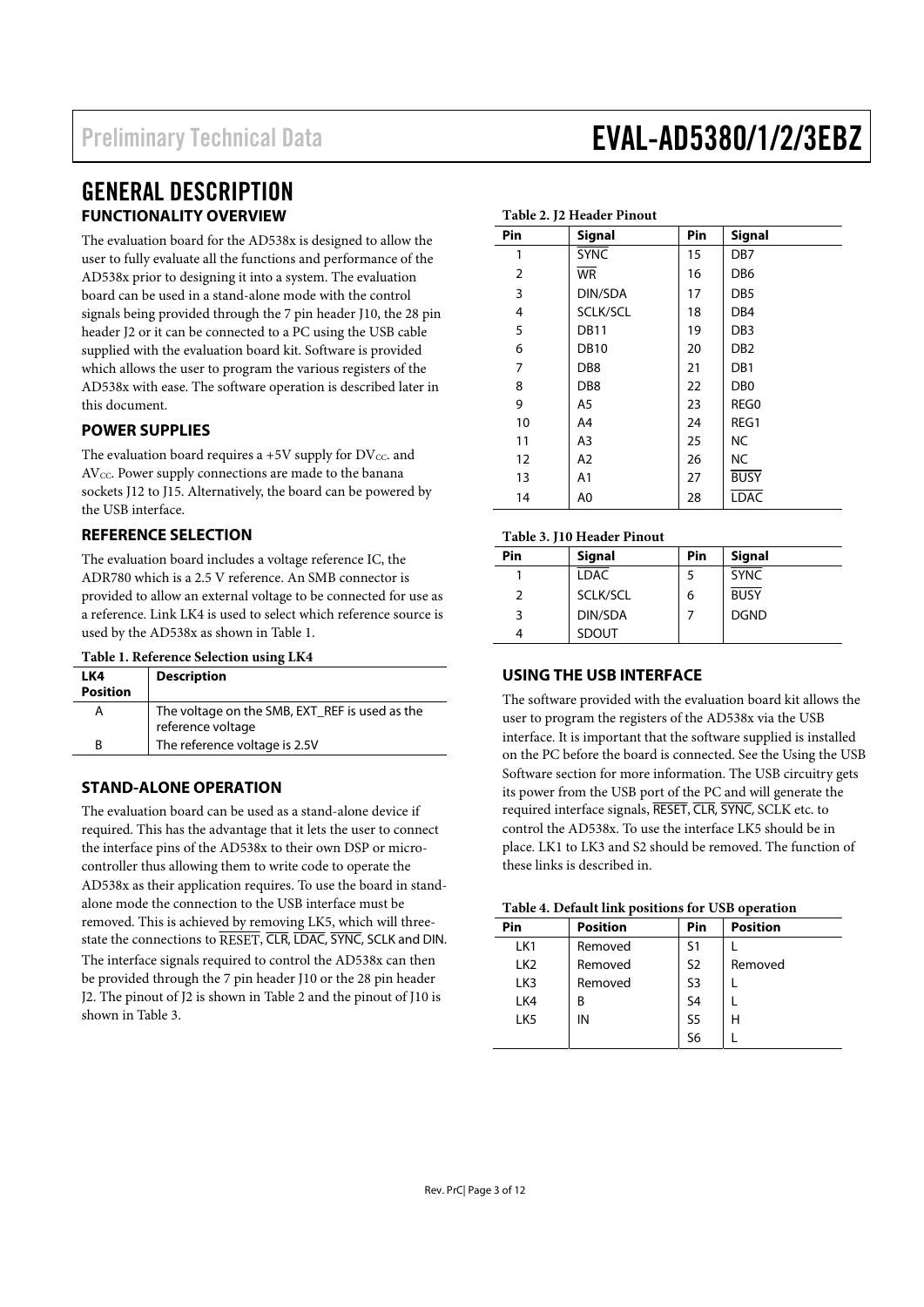### GENERAL DESCRIPTION **FUNCTIONALITY OVERVIEW**

The evaluation board for the AD538x is designed to allow the user to fully evaluate all the functions and performance of the AD538x prior to designing it into a system. The evaluation board can be used in a stand-alone mode with the control signals being provided through the 7 pin header J10, the 28 pin header J2 or it can be connected to a PC using the USB cable supplied with the evaluation board kit. Software is provided which allows the user to program the various registers of the AD538x with ease. The software operation is described later in this document.

#### **POWER SUPPLIES**

The evaluation board requires a  $+5V$  supply for DV<sub>CC</sub>. and AV<sub>CC</sub>. Power supply connections are made to the banana sockets J12 to J15. Alternatively, the board can be powered by the USB interface.

#### **REFERENCE SELECTION**

The evaluation board includes a voltage reference IC, the ADR780 which is a 2.5 V reference. An SMB connector is provided to allow an external voltage to be connected for use as a reference. Link LK4 is used to select which reference source is used by the AD538x as shown in Table 1.

| Table 1. Reference Selection using LK4 |  |  |
|----------------------------------------|--|--|
|----------------------------------------|--|--|

| LK4<br><b>Position</b> | <b>Description</b>                                                  |
|------------------------|---------------------------------------------------------------------|
| А                      | The voltage on the SMB, EXT_REF is used as the<br>reference voltage |
| R                      | The reference voltage is 2.5V                                       |

### **STAND-ALONE OPERATION**

The evaluation board can be used as a stand-alone device if required. This has the advantage that it lets the user to connect the interface pins of the AD538x to their own DSP or microcontroller thus allowing them to write code to operate the AD538x as their application requires. To use the board in standalone mode the connection to the USB interface must be removed. This is achieved by removing LK5, which will threestate the connections to RESET, CLR, LDAC, SYNC, SCLK and DIN. The interface signals required to control the AD538x can then be provided through the 7 pin header J10 or the 28 pin header J2. The pinout of J2 is shown in Table 2 and the pinout of J10 is shown in Table 3.

| $1400 \pm 1410$ |                 |     |                 |  |  |  |
|-----------------|-----------------|-----|-----------------|--|--|--|
| Pin             | <b>Signal</b>   | Pin | <b>Signal</b>   |  |  |  |
| 1               | <b>SYNC</b>     | 15  | DB <sub>7</sub> |  |  |  |
| $\overline{2}$  | <b>WR</b>       | 16  | DB <sub>6</sub> |  |  |  |
| 3               | DIN/SDA         | 17  | DB <sub>5</sub> |  |  |  |
| 4               | SCLK/SCL        | 18  | DB4             |  |  |  |
| 5               | <b>DB11</b>     | 19  | DB <sub>3</sub> |  |  |  |
| 6               | <b>DB10</b>     | 20  | DB <sub>2</sub> |  |  |  |
| 7               | DB <sub>8</sub> | 21  | DB1             |  |  |  |
| 8               | DB <sub>8</sub> | 22  | D <sub>B</sub>  |  |  |  |
| 9               | A5              | 23  | REG0            |  |  |  |
| 10              | A4              | 24  | REG1            |  |  |  |
| 11              | A3              | 25  | <b>NC</b>       |  |  |  |
| 12              | A2              | 26  | NC.             |  |  |  |
| 13              | A <sub>1</sub>  | 27  | <b>BUSY</b>     |  |  |  |
| 14              | A0              | 28  | <b>LDAC</b>     |  |  |  |

#### **Table 3. J10 Header Pinout**

**Table 2. J2 Header Pinout** 

| ------ - - . |               |     |               |  |  |  |
|--------------|---------------|-----|---------------|--|--|--|
| Pin          | <b>Signal</b> | Pin | <b>Signal</b> |  |  |  |
|              | <b>LDAC</b>   |     | <b>SYNC</b>   |  |  |  |
|              | SCLK/SCL      | 6   | <b>BUSY</b>   |  |  |  |
| 3            | DIN/SDA       |     | <b>DGND</b>   |  |  |  |
|              | <b>SDOUT</b>  |     |               |  |  |  |

### **USING THE USB INTERFACE**

The software provided with the evaluation board kit allows the user to program the registers of the AD538x via the USB interface. It is important that the software supplied is installed on the PC before the board is connected. See the Using the USB Software section for more information. The USB circuitry gets its power from the USB port of the PC and will generate the required interface signals, RESET, CLR, SYNC, SCLK etc. to control the AD538x. To use the interface LK5 should be in place. LK1 to LK3 and S2 should be removed. The function of these links is described in.

| Table 4. Default link positions for USB operation |  |  |
|---------------------------------------------------|--|--|
|---------------------------------------------------|--|--|

| Pin             | <b>Position</b> | Pin            | <b>Position</b> |  |  |  |  |  |
|-----------------|-----------------|----------------|-----------------|--|--|--|--|--|
| LK1             | Removed         | S1             |                 |  |  |  |  |  |
| LK <sub>2</sub> | Removed         | S <sub>2</sub> | Removed         |  |  |  |  |  |
| LK3             | Removed         | S <sub>3</sub> |                 |  |  |  |  |  |
| LK4             | B               | S <sub>4</sub> |                 |  |  |  |  |  |
| LK <sub>5</sub> | IN              | S <sub>5</sub> | н               |  |  |  |  |  |
|                 |                 | S6             |                 |  |  |  |  |  |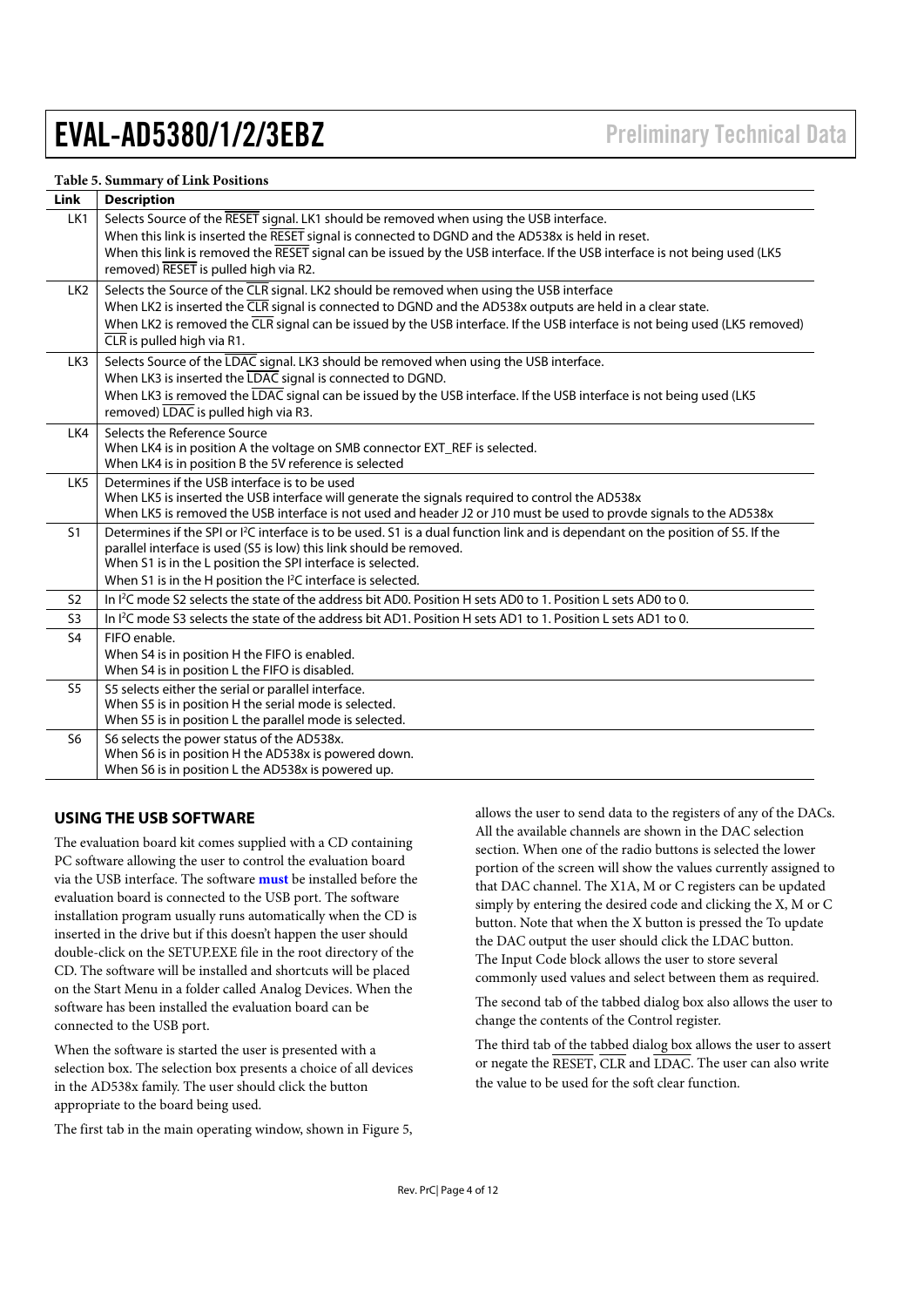#### **Table 5. Summary of Link Positions**

| Link            | <b>Description</b>                                                                                                                                                                                                                                                                                                                                                  |
|-----------------|---------------------------------------------------------------------------------------------------------------------------------------------------------------------------------------------------------------------------------------------------------------------------------------------------------------------------------------------------------------------|
| LK1             | Selects Source of the RESET signal. LK1 should be removed when using the USB interface.<br>When this link is inserted the RESET signal is connected to DGND and the AD538x is held in reset.<br>When this link is removed the RESET signal can be issued by the USB interface. If the USB interface is not being used (LK5                                          |
|                 | removed) RESET is pulled high via R2.                                                                                                                                                                                                                                                                                                                               |
| LK <sub>2</sub> | Selects the Source of the CLR signal. LK2 should be removed when using the USB interface<br>When LK2 is inserted the CLR signal is connected to DGND and the AD538x outputs are held in a clear state.<br>When LK2 is removed the CLR signal can be issued by the USB interface. If the USB interface is not being used (LK5 removed)<br>CLR is pulled high via R1. |
| LK3             | Selects Source of the LDAC signal. LK3 should be removed when using the USB interface.<br>When LK3 is inserted the LDAC signal is connected to DGND.<br>When LK3 is removed the LDAC signal can be issued by the USB interface. If the USB interface is not being used (LK5<br>removed) LDAC is pulled high via R3.                                                 |
| LK4             | Selects the Reference Source<br>When LK4 is in position A the voltage on SMB connector EXT_REF is selected.<br>When LK4 is in position B the 5V reference is selected                                                                                                                                                                                               |
| LK <sub>5</sub> | Determines if the USB interface is to be used<br>When LK5 is inserted the USB interface will generate the signals required to control the AD538x<br>When LK5 is removed the USB interface is not used and header J2 or J10 must be used to provde signals to the AD538x                                                                                             |
| S <sub>1</sub>  | Determines if the SPI or <sup>12</sup> C interface is to be used. S1 is a dual function link and is dependant on the position of S5. If the<br>parallel interface is used (S5 is low) this link should be removed.<br>When S1 is in the L position the SPI interface is selected.<br>When S1 is in the H position the I <sup>2</sup> C interface is selected.       |
| <b>S2</b>       | In <sup>12</sup> C mode S2 selects the state of the address bit AD0. Position H sets AD0 to 1. Position L sets AD0 to 0.                                                                                                                                                                                                                                            |
| S <sub>3</sub>  | In I <sup>2</sup> C mode S3 selects the state of the address bit AD1. Position H sets AD1 to 1. Position L sets AD1 to 0.                                                                                                                                                                                                                                           |
| S <sub>4</sub>  | FIFO enable.<br>When S4 is in position H the FIFO is enabled.<br>When S4 is in position L the FIFO is disabled.                                                                                                                                                                                                                                                     |
| S <sub>5</sub>  | S5 selects either the serial or parallel interface.<br>When S5 is in position H the serial mode is selected.<br>When S5 is in position L the parallel mode is selected.                                                                                                                                                                                             |
| S <sub>6</sub>  | S6 selects the power status of the AD538x.<br>When S6 is in position H the AD538x is powered down.<br>When S6 is in position L the AD538x is powered up.                                                                                                                                                                                                            |

#### **USING THE USB SOFTWARE**

The evaluation board kit comes supplied with a CD containing PC software allowing the user to control the evaluation board via the USB interface. The software **must** be installed before the evaluation board is connected to the USB port. The software installation program usually runs automatically when the CD is inserted in the drive but if this doesn't happen the user should double-click on the SETUP.EXE file in the root directory of the CD. The software will be installed and shortcuts will be placed on the Start Menu in a folder called Analog Devices. When the software has been installed the evaluation board can be connected to the USB port.

When the software is started the user is presented with a selection box. The selection box presents a choice of all devices in the AD538x family. The user should click the button appropriate to the board being used.

The first tab in the main operating window, shown in Figure 5,

allows the user to send data to the registers of any of the DACs. All the available channels are shown in the DAC selection section. When one of the radio buttons is selected the lower portion of the screen will show the values currently assigned to that DAC channel. The X1A, M or C registers can be updated simply by entering the desired code and clicking the X, M or C button. Note that when the X button is pressed the To update the DAC output the user should click the LDAC button. The Input Code block allows the user to store several commonly used values and select between them as required.

The second tab of the tabbed dialog box also allows the user to change the contents of the Control register.

The third tab of the tabbed dialog box allows the user to assert or negate the RESET, CLR and LDAC. The user can also write the value to be used for the soft clear function.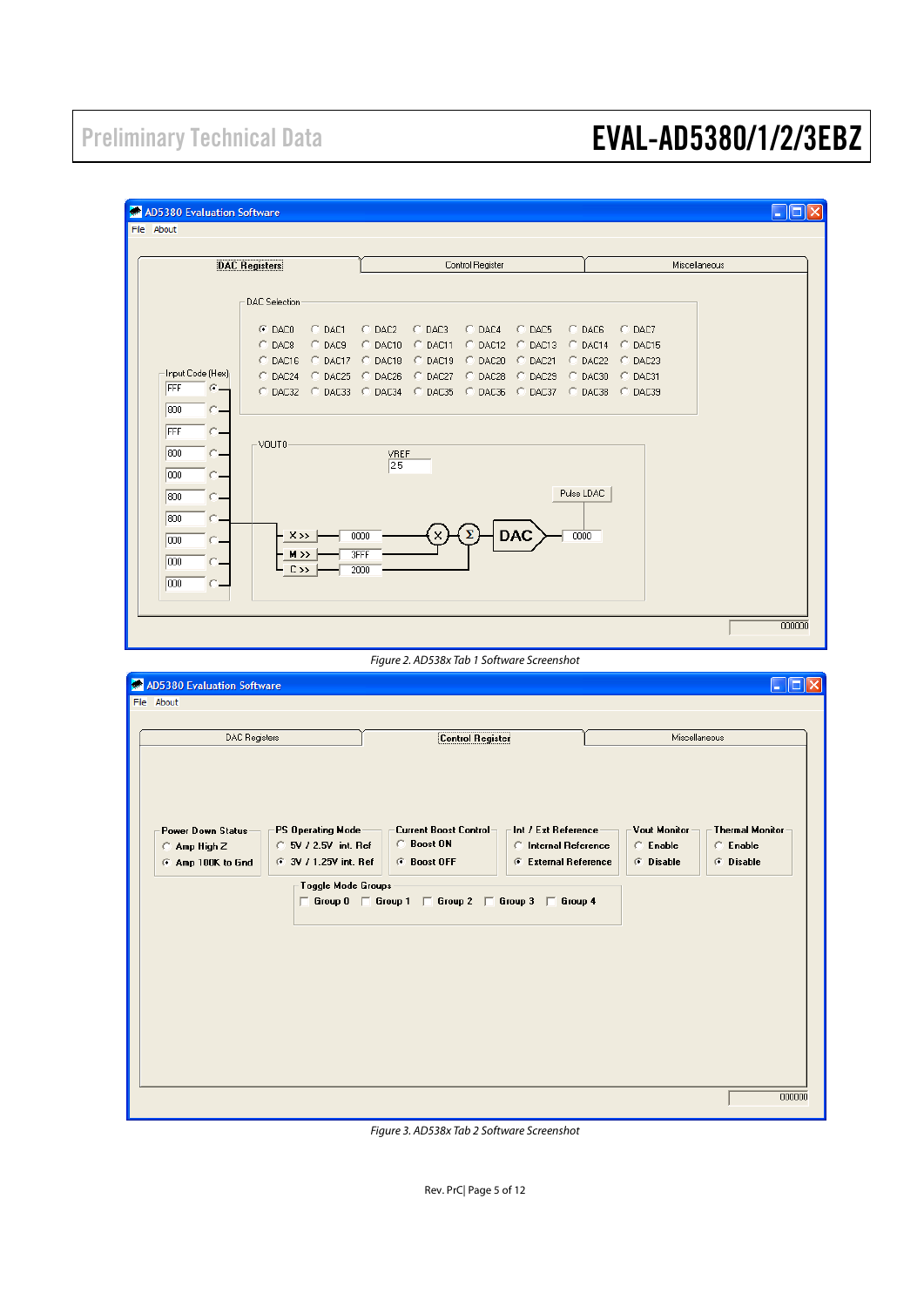| <b>AD5380 Evaluation Software</b>                                                                    |                                                                                                                                                                               |                                                                                                                         |                                                                                                                       |                                                                                  |                                                                              |                                                      | $\Box$ 0                                        |
|------------------------------------------------------------------------------------------------------|-------------------------------------------------------------------------------------------------------------------------------------------------------------------------------|-------------------------------------------------------------------------------------------------------------------------|-----------------------------------------------------------------------------------------------------------------------|----------------------------------------------------------------------------------|------------------------------------------------------------------------------|------------------------------------------------------|-------------------------------------------------|
| File About                                                                                           |                                                                                                                                                                               |                                                                                                                         |                                                                                                                       |                                                                                  |                                                                              |                                                      |                                                 |
|                                                                                                      | <b>DAC Registers</b>                                                                                                                                                          |                                                                                                                         | Control Register                                                                                                      |                                                                                  |                                                                              |                                                      | Miscellaneous                                   |
| Input Code (Hex)<br>FFF<br>$\sigma_-$<br>800<br>FFF<br>800<br>000<br>800<br>800<br>000<br>000<br>000 | DAC Selection<br>C DACO<br>$C$ DAC1<br>C DAC9<br>C DAC8<br>C DAC16 C DAC17<br>C DAC24<br>C DAC25<br>C DAC32 C DAC33<br>$-VOUT0$<br>$X \rightarrow$<br>M >><br>$C \rightarrow$ | $C$ DAC2<br>C DAC10 C DAC11<br>C DAC18<br>DAC26<br>C.<br>$C$ DAC34<br><b>VREF</b><br>2.5<br>0000<br><b>3FFF</b><br>2000 | C DAC3<br>C DAC4<br>C DAC19<br>C DAC20<br>C DAC27<br>C DAC28<br>C DAC35<br>Figure 2. AD538x Tab 1 Software Screenshot | C DAC5<br>C DAC12 C DAC13<br>C DAC21<br>C DAC29<br>C DAC36 C DAC37<br><b>DAC</b> | C DAC6<br>$O$ DAC14<br>$C$ DAC22<br>C DAC30<br>C DAC38<br>Pulse LDAC<br>0000 | C DAC7<br>C DAC15<br>$C$ DAC23<br>C DAC31<br>C DAC39 | 000000                                          |
| <b>AD5380 Evaluation Software</b><br>File About                                                      |                                                                                                                                                                               |                                                                                                                         |                                                                                                                       |                                                                                  |                                                                              |                                                      |                                                 |
|                                                                                                      | <b>DAC Registers</b>                                                                                                                                                          |                                                                                                                         | <b>Control Register</b>                                                                                               |                                                                                  |                                                                              |                                                      | Miscellaneous                                   |
| Power Down Status<br>$\cap$ Amp High Z<br>C Amp 100K to Gnd                                          | <b>PS Operating Mode</b><br>C 5V / 2.5V int. Ref<br><b>6</b> 3V / 1.25V int. Ref                                                                                              |                                                                                                                         | <b>Current Boost Control</b><br><b>C</b> Boost ON<br><b><i>G</i></b> Boost OFF                                        | Int / Ext Reference<br><b>C</b> Internal Reference<br>C External Reference       |                                                                              | <b>Vout Monitor</b><br>C Enable<br>C Disable         | <b>Thermal Monitor</b><br>C Enable<br>C Disable |
|                                                                                                      | $\sqsubset$ Toggle Mode Groups                                                                                                                                                |                                                                                                                         | $\Box$ Group 0 $\Box$ Group 1 $\Box$ Group 2 $\Box$ Group 3 $\Box$ Group 4                                            |                                                                                  |                                                                              |                                                      |                                                 |

Figure 3. AD538x Tab 2 Software Screenshot

Rev. PrC| Page 5 of 12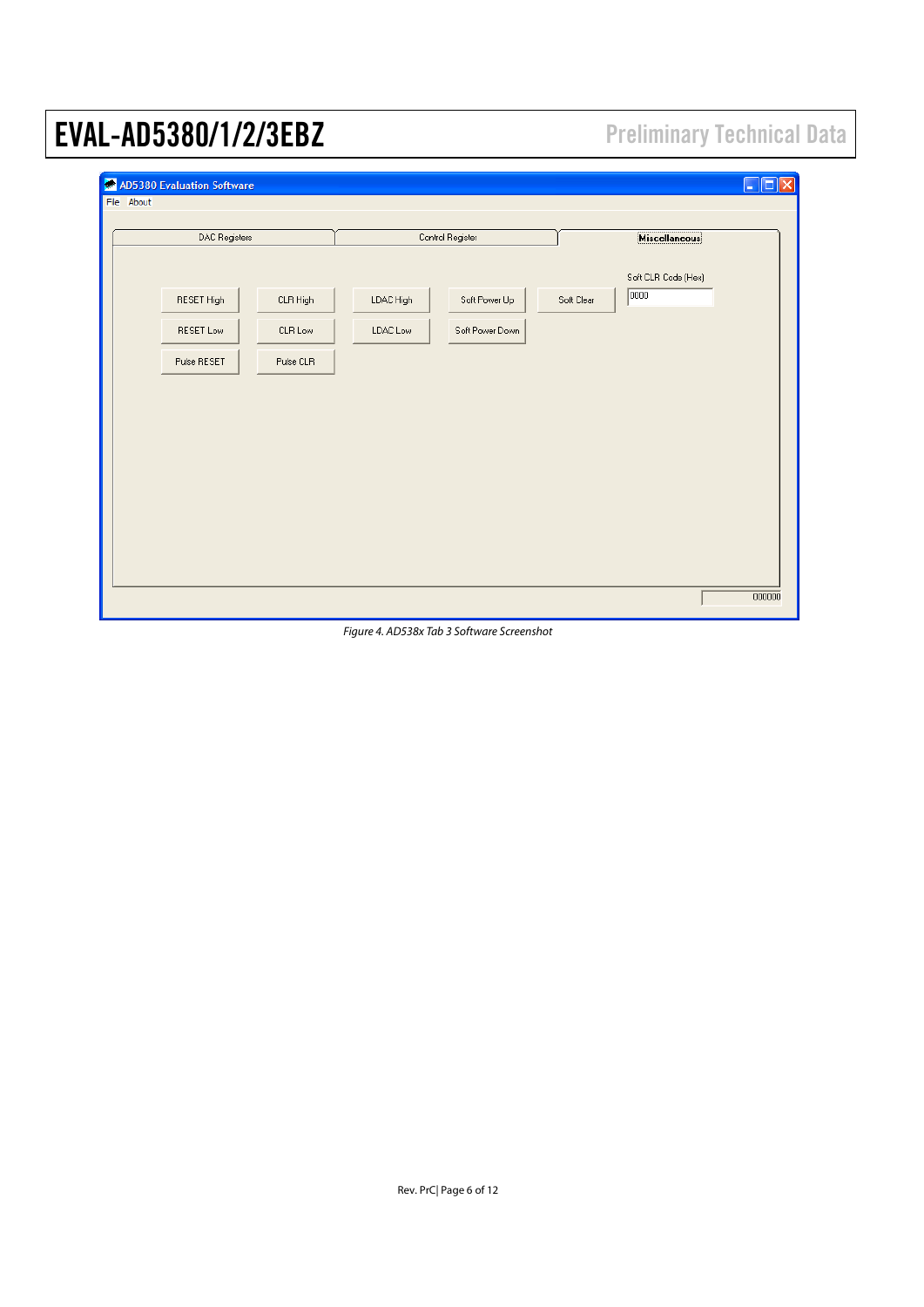| AD5380 Evaluation Software<br>File About |                                    |           |                  |            |                             | lx.<br>Io<br>L. |
|------------------------------------------|------------------------------------|-----------|------------------|------------|-----------------------------|-----------------|
| DAC Registers                            |                                    |           | Control Register |            | <b>Miscellaneous</b>        |                 |
| RESET High                               | $CLR$ High                         | LDAC High | Soft Power Up    | Soft Clear | Soft CLR Code (Hex)<br>0000 |                 |
| RESET Low                                | $\ensuremath{\mathsf{CLR}}$<br>Low | LDAC Low  | Soft Power Down  |            |                             |                 |
| Pulse RESET                              | Pulse CLR                          |           |                  |            |                             |                 |
|                                          |                                    |           |                  |            |                             |                 |
|                                          |                                    |           |                  |            |                             |                 |
|                                          |                                    |           |                  |            |                             |                 |
|                                          |                                    |           |                  |            |                             |                 |
|                                          |                                    |           |                  |            |                             |                 |
|                                          |                                    |           |                  |            |                             | 000000          |

Figure 4. AD538x Tab 3 Software Screenshot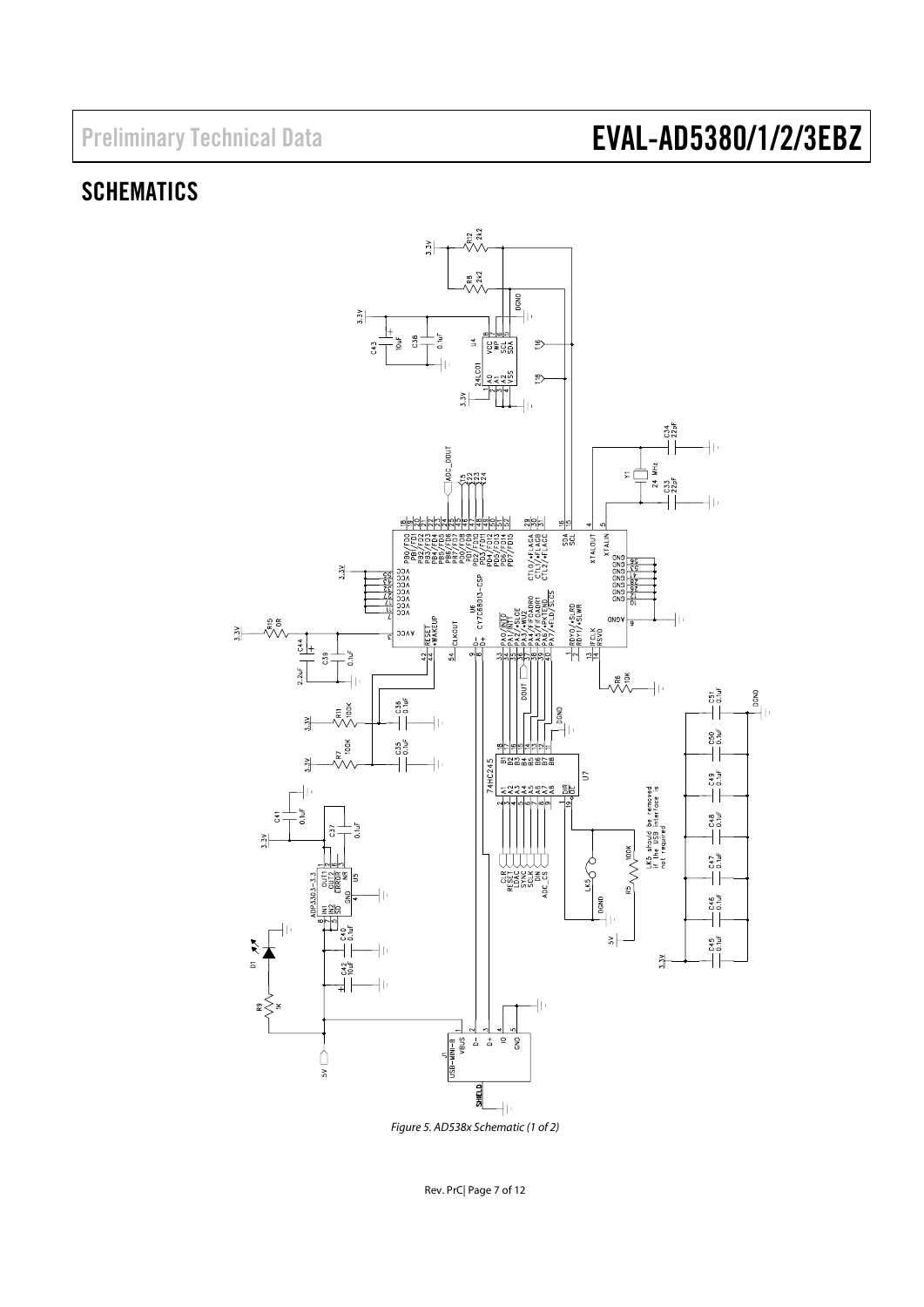### SCHEMATICS



Figure 5. AD538x Schematic (1 of 2)

Rev. PrC| Page 7 of 12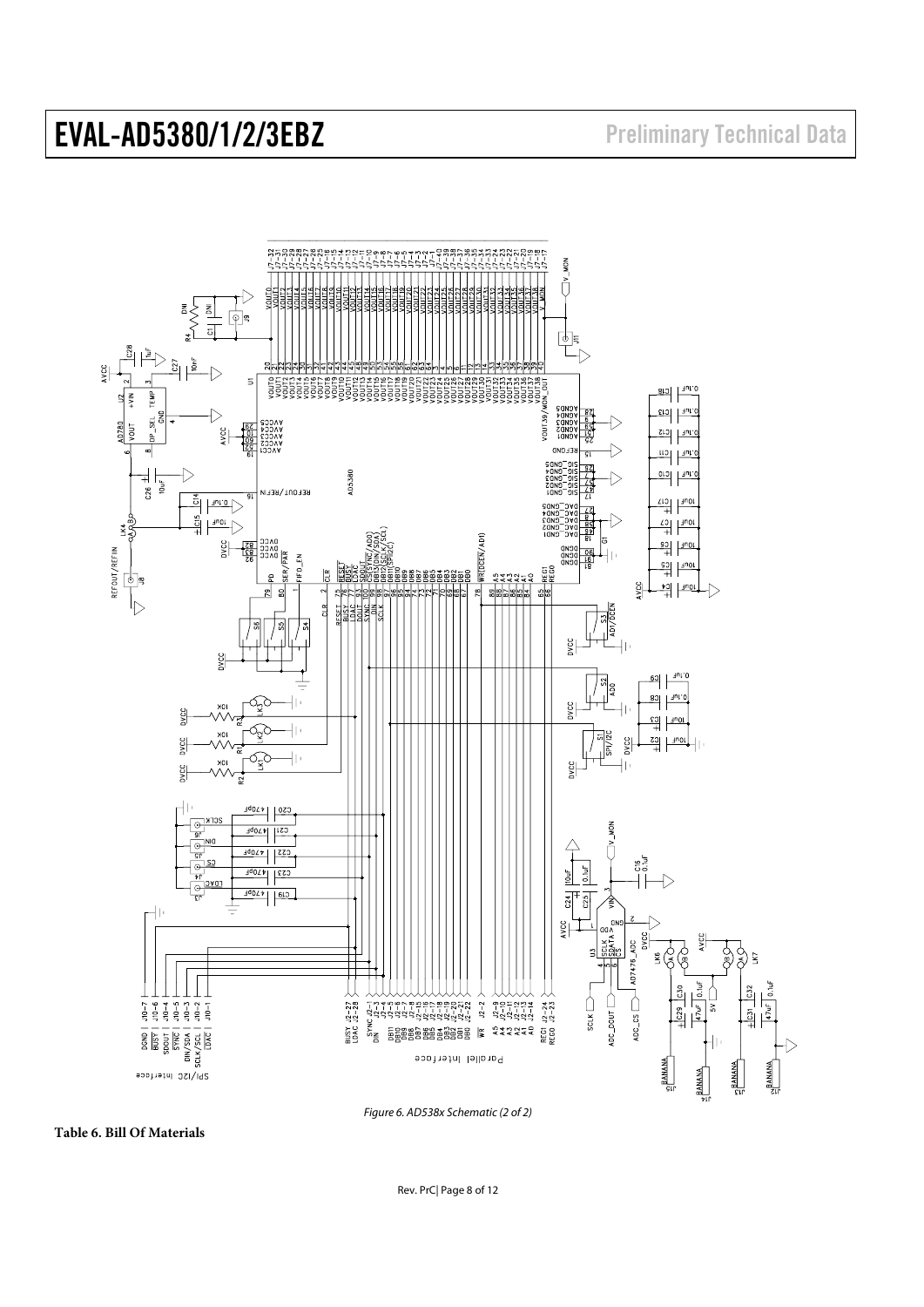

Figure 6. AD538x Schematic (2 of 2)

**Table 6. Bill Of Materials**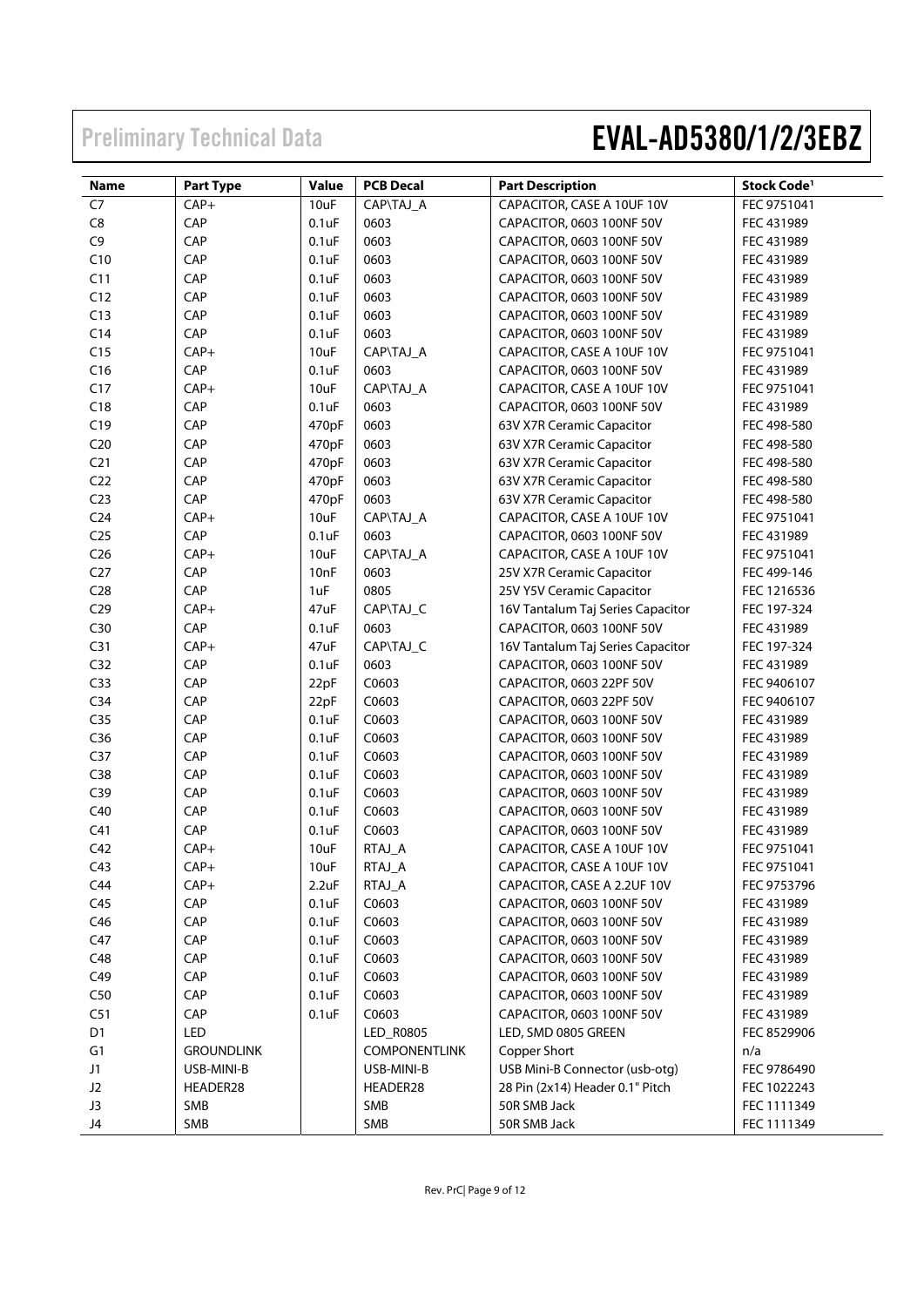| <b>Name</b>     | <b>Part Type</b>  | Value            | <b>PCB Decal</b>     | <b>Part Description</b>           | Stock Code <sup>1</sup> |
|-----------------|-------------------|------------------|----------------------|-----------------------------------|-------------------------|
| C <sub>7</sub>  | CAP+              | 10uF             | CAP\TAJ_A            | CAPACITOR, CASE A 10UF 10V        | FEC 9751041             |
| ${\sf C}8$      | CAP               | 0.1uF            | 0603                 | CAPACITOR, 0603 100NF 50V         | FEC 431989              |
| C <sub>9</sub>  | CAP               | 0.1uF            | 0603                 | CAPACITOR, 0603 100NF 50V         | FEC 431989              |
| C10             | CAP               | 0.1uF            | 0603                 | CAPACITOR, 0603 100NF 50V         | FEC 431989              |
| C11             | CAP               | 0.1uF            | 0603                 | CAPACITOR, 0603 100NF 50V         | FEC 431989              |
| C12             | CAP               | 0.1uF            | 0603                 | CAPACITOR, 0603 100NF 50V         | FEC 431989              |
| C13             | CAP               | 0.1uF            | 0603                 | CAPACITOR, 0603 100NF 50V         | FEC 431989              |
| C14             | CAP               | 0.1uF            | 0603                 | CAPACITOR, 0603 100NF 50V         | FEC 431989              |
| C15             | $CAP+$            | 10uF             | CAP\TAJ_A            | CAPACITOR, CASE A 10UF 10V        | FEC 9751041             |
| C16             | CAP               | 0.1uF            | 0603                 | CAPACITOR, 0603 100NF 50V         | FEC 431989              |
| C17             | $CAP+$            | 10uF             | CAP\TAJ_A            | CAPACITOR, CASE A 10UF 10V        | FEC 9751041             |
| C18             | CAP               | 0.1uF            | 0603                 | CAPACITOR, 0603 100NF 50V         | FEC 431989              |
| C19             | CAP               | 470pF            | 0603                 | 63V X7R Ceramic Capacitor         | FEC 498-580             |
| C <sub>20</sub> | CAP               | 470pF            | 0603                 | 63V X7R Ceramic Capacitor         | FEC 498-580             |
| C <sub>21</sub> | CAP               | 470pF            | 0603                 | 63V X7R Ceramic Capacitor         | FEC 498-580             |
| C <sub>22</sub> | CAP               | 470pF            | 0603                 | 63V X7R Ceramic Capacitor         | FEC 498-580             |
| C <sub>23</sub> | CAP               | 470pF            | 0603                 | 63V X7R Ceramic Capacitor         | FEC 498-580             |
| C <sub>24</sub> | $CAP+$            | 10uF             | CAP\TAJ_A            | CAPACITOR, CASE A 10UF 10V        | FEC 9751041             |
| C <sub>25</sub> | CAP               | 0.1uF            | 0603                 | CAPACITOR, 0603 100NF 50V         | FEC 431989              |
| C <sub>26</sub> | $CAP+$            | 10uF             | CAP\TAJ_A            | CAPACITOR, CASE A 10UF 10V        | FEC 9751041             |
| C <sub>27</sub> | CAP               | 10 <sub>nF</sub> | 0603                 | 25V X7R Ceramic Capacitor         | FEC 499-146             |
| C <sub>28</sub> | CAP               | 1uF              | 0805                 | 25V Y5V Ceramic Capacitor         | FEC 1216536             |
| C <sub>29</sub> | $CAP+$            | 47uF             | CAP\TAJ_C            | 16V Tantalum Taj Series Capacitor | FEC 197-324             |
| C30             | CAP               | 0.1uF            | 0603                 | CAPACITOR, 0603 100NF 50V         | FEC 431989              |
| C <sub>31</sub> | $CAP+$            | 47uF             | CAP\TAJ_C            | 16V Tantalum Taj Series Capacitor | FEC 197-324             |
| C <sub>32</sub> | CAP               | $0.1$ u $F$      | 0603                 | CAPACITOR, 0603 100NF 50V         | FEC 431989              |
| C <sub>33</sub> | CAP               | 22pF             | C0603                | CAPACITOR, 0603 22PF 50V          | FEC 9406107             |
| C <sub>34</sub> | CAP               | 22pF             | C0603                | CAPACITOR, 0603 22PF 50V          | FEC 9406107             |
| C <sub>35</sub> | CAP               | $0.1$ u $F$      | C0603                | CAPACITOR, 0603 100NF 50V         | FEC 431989              |
| C36             | CAP               | 0.1uF            | C0603                | CAPACITOR, 0603 100NF 50V         | FEC 431989              |
| C <sub>37</sub> | CAP               | 0.1uF            | C0603                | CAPACITOR, 0603 100NF 50V         | FEC 431989              |
| C38             | CAP               | 0.1uF            | C0603                | CAPACITOR, 0603 100NF 50V         | FEC 431989              |
| C39             | CAP               | 0.1uF            | C0603                | CAPACITOR, 0603 100NF 50V         | FEC 431989              |
| C40             | CAP               | 0.1uF            | C0603                | CAPACITOR, 0603 100NF 50V         | FEC 431989              |
| C <sub>41</sub> | CAP               | 0.1uF            | C0603                | CAPACITOR, 0603 100NF 50V         | FEC 431989              |
| C42             | $CAP+$            | 10uF             | RTAJ_A               | CAPACITOR, CASE A 10UF 10V        | FEC 9751041             |
| C43             | $CAP+$            | 10uF             | RTAJ_A               | CAPACITOR, CASE A 10UF 10V        | FEC 9751041             |
| C44             | $CAP+$            | 2.2uF            | RTAJ_A               | CAPACITOR, CASE A 2.2UF 10V       | FEC 9753796             |
| C45             | CAP               | $0.1$ u $F$      | C0603                | CAPACITOR, 0603 100NF 50V         | FEC 431989              |
| C46             | CAP               | $0.1$ u $F$      | C0603                | CAPACITOR, 0603 100NF 50V         | FEC 431989              |
| C47             | CAP               | $0.1$ u $F$      | C0603                | CAPACITOR, 0603 100NF 50V         | FEC 431989              |
| C48             | CAP               | $0.1$ u $F$      | C0603                | CAPACITOR, 0603 100NF 50V         | FEC 431989              |
| C49             | CAP               | $0.1$ u $F$      | C0603                | CAPACITOR, 0603 100NF 50V         | FEC 431989              |
| C50             | CAP               | $0.1$ u $F$      | C0603                | CAPACITOR, 0603 100NF 50V         | FEC 431989              |
| C51             | CAP               | $0.1$ u $F$      | C0603                | CAPACITOR, 0603 100NF 50V         | FEC 431989              |
| D1              | LED               |                  | LED_R0805            | LED, SMD 0805 GREEN               | FEC 8529906             |
| G1              | <b>GROUNDLINK</b> |                  | <b>COMPONENTLINK</b> | Copper Short                      | n/a                     |
| J1              | USB-MINI-B        |                  | USB-MINI-B           | USB Mini-B Connector (usb-otg)    | FEC 9786490             |
| J2              | HEADER28          |                  | HEADER28             | 28 Pin (2x14) Header 0.1" Pitch   | FEC 1022243             |
| J3              | SMB               |                  | SMB                  | 50R SMB Jack                      | FEC 1111349             |
| J4              | SMB               |                  | SMB                  | 50R SMB Jack                      | FEC 1111349             |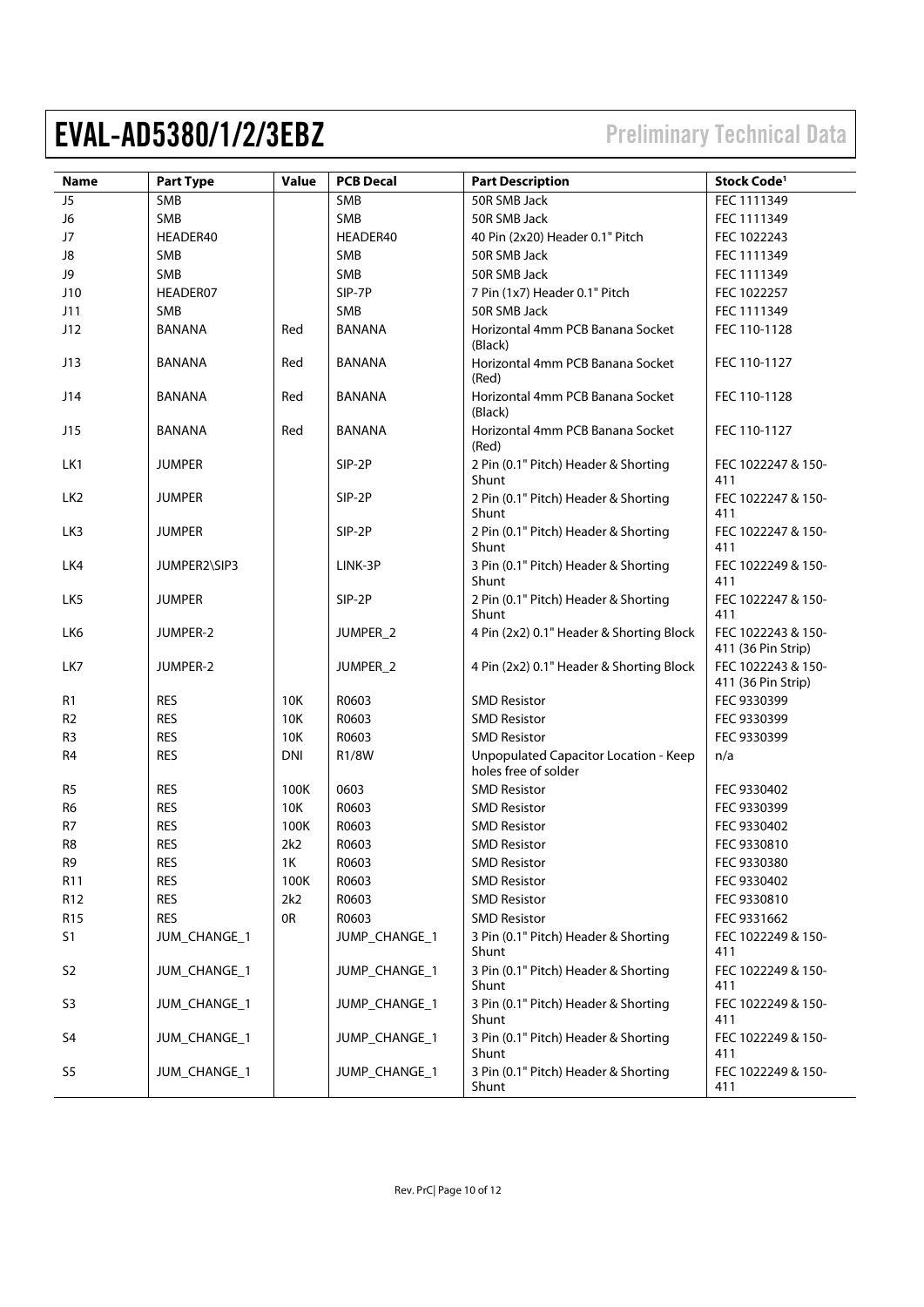| <b>Name</b>     | <b>Part Type</b> | Value      | <b>PCB Decal</b> | <b>Part Description</b>                                       | Stock Code <sup>1</sup>                  |
|-----------------|------------------|------------|------------------|---------------------------------------------------------------|------------------------------------------|
| J <sub>5</sub>  | SMB              |            | SMB              | 50R SMB Jack                                                  | FEC 1111349                              |
| J6              | SMB              |            | SMB              | 50R SMB Jack                                                  | FEC 1111349                              |
| J7              | HEADER40         |            | HEADER40         | 40 Pin (2x20) Header 0.1" Pitch                               | FEC 1022243                              |
| J8              | <b>SMB</b>       |            | SMB              | 50R SMB Jack                                                  | FEC 1111349                              |
| J9              | SMB              |            | SMB              | 50R SMB Jack                                                  | FEC 1111349                              |
| J10             | HEADER07         |            | SIP-7P           | 7 Pin (1x7) Header 0.1" Pitch                                 | FEC 1022257                              |
| J11             | SMB              |            | SMB              | 50R SMB Jack                                                  | FEC 1111349                              |
| J12             | <b>BANANA</b>    | Red        | <b>BANANA</b>    | Horizontal 4mm PCB Banana Socket<br>(Black)                   | FEC 110-1128                             |
| J13             | <b>BANANA</b>    | Red        | <b>BANANA</b>    | Horizontal 4mm PCB Banana Socket<br>(Red)                     | FEC 110-1127                             |
| J14             | <b>BANANA</b>    | Red        | <b>BANANA</b>    | Horizontal 4mm PCB Banana Socket<br>(Black)                   | FEC 110-1128                             |
| J15             | <b>BANANA</b>    | Red        | <b>BANANA</b>    | Horizontal 4mm PCB Banana Socket<br>(Red)                     | FEC 110-1127                             |
| LK1             | <b>JUMPER</b>    |            | SIP-2P           | 2 Pin (0.1" Pitch) Header & Shorting<br>Shunt                 | FEC 1022247 & 150-<br>411                |
| LK <sub>2</sub> | <b>JUMPER</b>    |            | SIP-2P           | 2 Pin (0.1" Pitch) Header & Shorting<br>Shunt                 | FEC 1022247 & 150-<br>411                |
| LK3             | <b>JUMPER</b>    |            | SIP-2P           | 2 Pin (0.1" Pitch) Header & Shorting<br>Shunt                 | FEC 1022247 & 150-<br>411                |
| LK4             | JUMPER2\SIP3     |            | LINK-3P          | 3 Pin (0.1" Pitch) Header & Shorting<br>Shunt                 | FEC 1022249 & 150-<br>411                |
| LK <sub>5</sub> | <b>JUMPER</b>    |            | SIP-2P           | 2 Pin (0.1" Pitch) Header & Shorting<br>Shunt                 | FEC 1022247 & 150-<br>411                |
| LK6             | JUMPER-2         |            | JUMPER_2         | 4 Pin (2x2) 0.1" Header & Shorting Block                      | FEC 1022243 & 150-<br>411 (36 Pin Strip) |
| LK7             | JUMPER-2         |            | JUMPER_2         | 4 Pin (2x2) 0.1" Header & Shorting Block                      | FEC 1022243 & 150-<br>411 (36 Pin Strip) |
| R1              | <b>RES</b>       | 10K        | R0603            | <b>SMD Resistor</b>                                           | FEC 9330399                              |
| R <sub>2</sub>  | <b>RES</b>       | 10K        | R0603            | <b>SMD Resistor</b>                                           | FEC 9330399                              |
| R <sub>3</sub>  | <b>RES</b>       | 10K        | R0603            | <b>SMD Resistor</b>                                           | FEC 9330399                              |
| R4              | <b>RES</b>       | <b>DNI</b> | R1/8W            | Unpopulated Capacitor Location - Keep<br>holes free of solder | n/a                                      |
| R <sub>5</sub>  | <b>RES</b>       | 100K       | 0603             | <b>SMD Resistor</b>                                           | FEC 9330402                              |
| R <sub>6</sub>  | <b>RES</b>       | 10K        | R0603            | <b>SMD Resistor</b>                                           | FEC 9330399                              |
| R7              | <b>RES</b>       | 100K       | R0603            | <b>SMD Resistor</b>                                           | FEC 9330402                              |
| R <sub>8</sub>  | <b>RES</b>       | 2k2        | R0603            | <b>SMD Resistor</b>                                           | FEC 9330810                              |
| R <sub>9</sub>  | <b>RES</b>       | 1K         | R0603            | <b>SMD Resistor</b>                                           | FEC 9330380                              |
| R11             | <b>RES</b>       | 100K       | R0603            | <b>SMD Resistor</b>                                           | FEC 9330402                              |
| R <sub>12</sub> | <b>RES</b>       | 2k2        | R0603            | <b>SMD Resistor</b>                                           | FEC 9330810                              |
| R <sub>15</sub> | <b>RES</b>       | 0R         | R0603            | <b>SMD Resistor</b>                                           | FEC 9331662                              |
| S1              | JUM_CHANGE_1     |            | JUMP_CHANGE_1    | 3 Pin (0.1" Pitch) Header & Shorting<br>Shunt                 | FEC 1022249 & 150-<br>411                |
| S <sub>2</sub>  | JUM_CHANGE_1     |            | JUMP_CHANGE_1    | 3 Pin (0.1" Pitch) Header & Shorting<br>Shunt                 | FEC 1022249 & 150-<br>411                |
| S <sub>3</sub>  | JUM_CHANGE_1     |            | JUMP_CHANGE_1    | 3 Pin (0.1" Pitch) Header & Shorting<br>Shunt                 | FEC 1022249 & 150-<br>411                |
| S <sub>4</sub>  | JUM_CHANGE_1     |            | JUMP_CHANGE_1    | 3 Pin (0.1" Pitch) Header & Shorting<br>Shunt                 | FEC 1022249 & 150-<br>411                |
| S <sub>5</sub>  | JUM_CHANGE_1     |            | JUMP_CHANGE_1    | 3 Pin (0.1" Pitch) Header & Shorting<br>Shunt                 | FEC 1022249 & 150-<br>411                |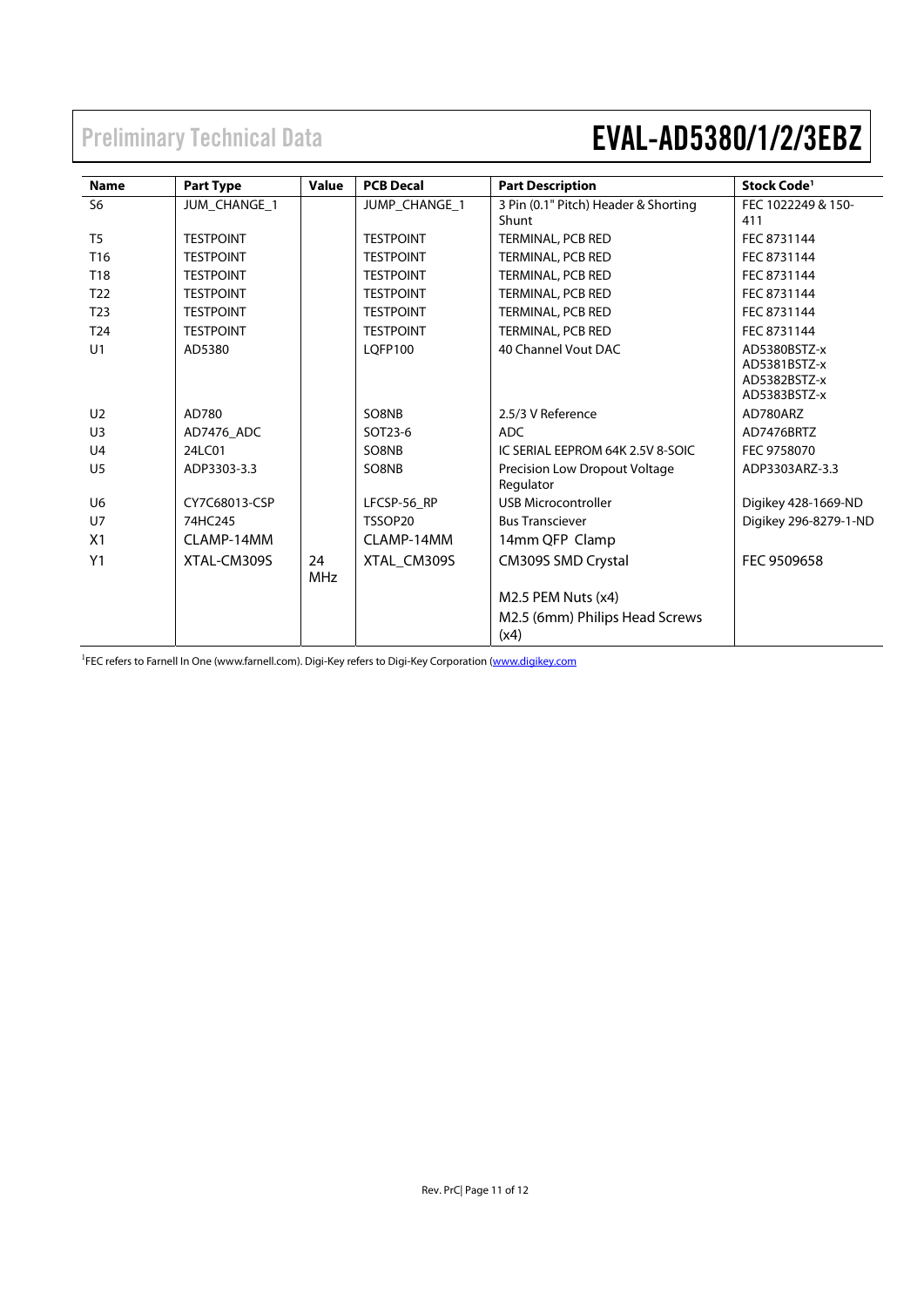| <b>Name</b>     | <b>Part Type</b> | Value      | <b>PCB Decal</b>     | <b>Part Description</b>                    | Stock Code <sup>1</sup> |
|-----------------|------------------|------------|----------------------|--------------------------------------------|-------------------------|
| S <sub>6</sub>  | JUM_CHANGE_1     |            | <b>JUMP CHANGE 1</b> | 3 Pin (0.1" Pitch) Header & Shorting       | FEC 1022249 & 150-      |
|                 |                  |            |                      | Shunt                                      | 411                     |
| T <sub>5</sub>  | <b>TESTPOINT</b> |            | <b>TESTPOINT</b>     | <b>TERMINAL, PCB RED</b>                   | FEC 8731144             |
| T <sub>16</sub> | <b>TESTPOINT</b> |            | <b>TESTPOINT</b>     | TERMINAL, PCB RED                          | FEC 8731144             |
| T18             | <b>TESTPOINT</b> |            | <b>TESTPOINT</b>     | TERMINAL, PCB RED                          | FEC 8731144             |
| T <sub>22</sub> | <b>TESTPOINT</b> |            | <b>TESTPOINT</b>     | TERMINAL, PCB RED                          | FEC 8731144             |
| T <sub>23</sub> | <b>TESTPOINT</b> |            | <b>TESTPOINT</b>     | TERMINAL, PCB RED                          | FEC 8731144             |
| T <sub>24</sub> | <b>TESTPOINT</b> |            | <b>TESTPOINT</b>     | TERMINAL, PCB RED                          | FEC 8731144             |
| U1              | AD5380           |            | <b>LOFP100</b>       | 40 Channel Vout DAC                        | AD5380BSTZ-x            |
|                 |                  |            |                      |                                            | AD5381BSTZ-x            |
|                 |                  |            |                      |                                            | AD5382BSTZ-x            |
|                 |                  |            |                      |                                            | AD5383BSTZ-x            |
| U <sub>2</sub>  | AD780            |            | SO8NB                | 2.5/3 V Reference                          | AD780ARZ                |
| U <sub>3</sub>  | AD7476 ADC       |            | SOT23-6              | <b>ADC</b>                                 | AD7476BRTZ              |
| U <sub>4</sub>  | 24LC01           |            | SO8NB                | IC SERIAL EEPROM 64K 2.5V 8-SOIC           | FEC 9758070             |
| U <sub>5</sub>  | ADP3303-3.3      |            | SO8NB                | Precision Low Dropout Voltage<br>Regulator | ADP3303ARZ-3.3          |
| U <sub>6</sub>  | CY7C68013-CSP    |            | LFCSP-56 RP          | <b>USB Microcontroller</b>                 | Digikey 428-1669-ND     |
| U <sub>7</sub>  | 74HC245          |            | TSSOP20              | <b>Bus Transciever</b>                     | Digikey 296-8279-1-ND   |
| X <sub>1</sub>  | CLAMP-14MM       |            | CLAMP-14MM           | 14mm QFP Clamp                             |                         |
| Y1              | XTAL-CM309S      | 24         | XTAL_CM309S          | CM309S SMD Crystal                         | FEC 9509658             |
|                 |                  | <b>MHz</b> |                      |                                            |                         |
|                 |                  |            |                      | M2.5 PEM Nuts (x4)                         |                         |
|                 |                  |            |                      | M2.5 (6mm) Philips Head Screws             |                         |
|                 |                  |            |                      | (x4)                                       |                         |

<sup>1</sup>FEC refers to Farnell In One (www.farnell.com). Digi-Key refers to Digi-Key Corporation (www.digikey.com